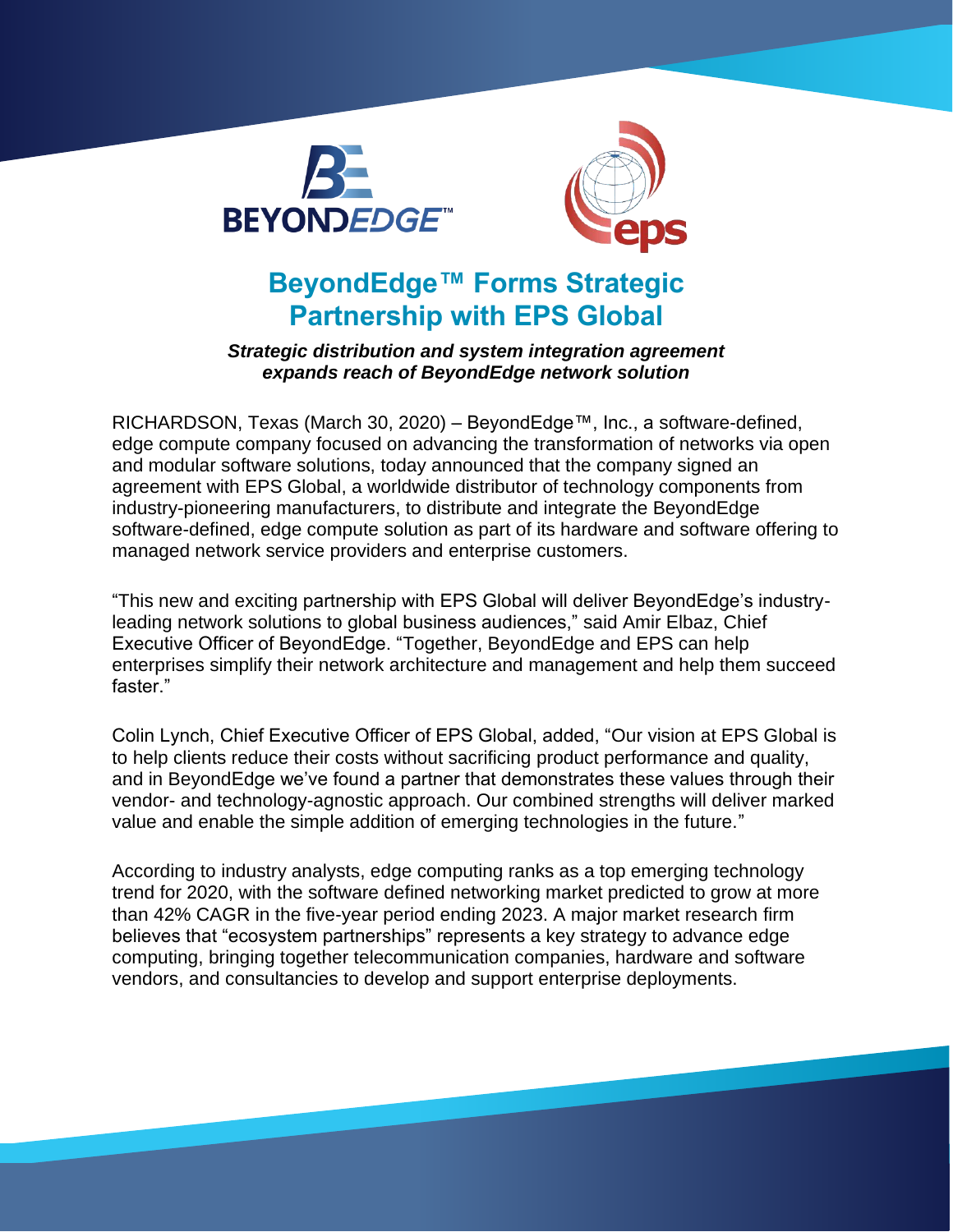



# **BeyondEdge™ Forms Strategic Partnership with EPS Global**

#### *Strategic distribution and system integration agreement expands reach of BeyondEdge network solution*

RICHARDSON, Texas (March 30, 2020) – BeyondEdge™, Inc., a software-defined, edge compute company focused on advancing the transformation of networks via open and modular software solutions, today announced that the company signed an agreement with EPS Global, a worldwide distributor of technology components from industry-pioneering manufacturers, to distribute and integrate the BeyondEdge software-defined, edge compute solution as part of its hardware and software offering to managed network service providers and enterprise customers.

"This new and exciting partnership with EPS Global will deliver BeyondEdge's industryleading network solutions to global business audiences," said Amir Elbaz, Chief Executive Officer of BeyondEdge. "Together, BeyondEdge and EPS can help enterprises simplify their network architecture and management and help them succeed faster."

Colin Lynch, Chief Executive Officer of EPS Global, added, "Our vision at EPS Global is to help clients reduce their costs without sacrificing product performance and quality, and in BeyondEdge we've found a partner that demonstrates these values through their vendor- and technology-agnostic approach. Our combined strengths will deliver marked value and enable the simple addition of emerging technologies in the future."

According to industry analysts, edge computing ranks as a top emerging technology trend for 2020, with the software defined networking market predicted to grow at more than 42% CAGR in the five-year period ending 2023. A major market research firm believes that "ecosystem partnerships" represents a key strategy to advance edge computing, bringing together telecommunication companies, hardware and software vendors, and consultancies to develop and support enterprise deployments.